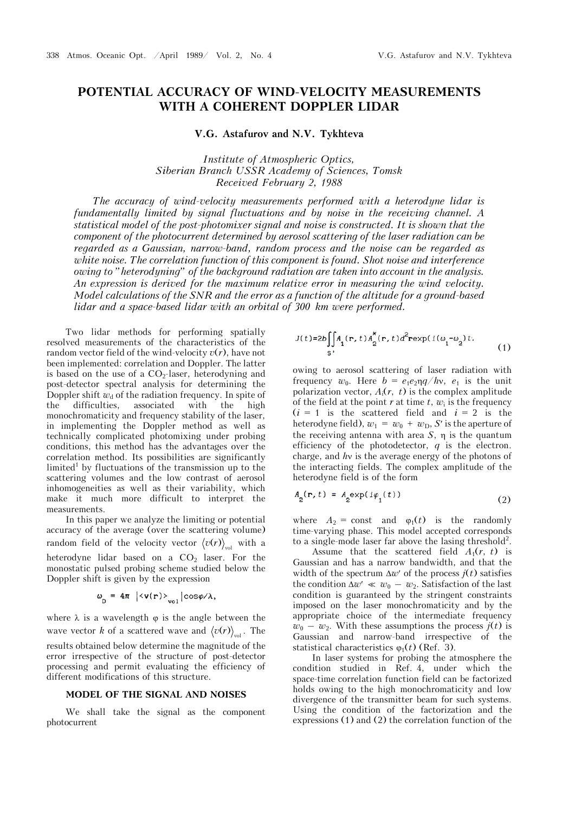# **POTENTIAL ACCURACY OF WIND-VELOCITY MEASUREMENTS WITH A COHERENT DOPPLER LIDAR**

**V.G. Astafurov and N.V. Tykhteva** 

*Institute of Atmospheric Optics, Siberian Branch USSR Academy of Sciences, Tomsk Received February 2, 1988* 

*The accuracy of wind-velocity measurements performed with a heterodyne lidar is fundamentally limited by signal fluctuations and by noise in the receiving channel. A statistical model of the post-photomixer signal and noise is constructed. It is shown that the component of the photocurrent determined by aerosol scattering of the laser radiation can be regarded as a Gaussian, narrow-band, random process and the noise can be regarded as white noise. The correlation function of this component is found. Shot noise and interference owing to "heterodyning" of the background radiation are taken into account in the analysis. An expression is derived for the maximum relative error in measuring the wind velocity. Model calculations of the SNR and the error as a function of the altitude for a ground-based lidar and a space-based lidar with an orbital of 300 km were performed.*

Two lidar methods for performing spatially resolved measurements of the characteristics of the random vector field of the wind-velocity  $v(r)$ , have not been implemented: correlation and Doppler. The latter is based on the use of a CO<sub>2</sub>-laser, heterodyning and post-detector spectral analysis for determining the Doppler shift  $w_d$  of the radiation frequency. In spite of the difficulties, associated with the high monochromaticity and frequency stability of the laser, in implementing the Doppler method as well as technically complicated photomixing under probing conditions, this method has the advantages over the correlation method. Its possibilities are significantly limited<sup>1</sup> by fluctuations of the transmission up to the scattering volumes and the low contrast of aerosol inhomogeneities as well as their variability, which make it much more difficult to interpret the measurements.

In this paper we analyze the limiting or potential accuracy of the average (over the scattering volume) random field of the velocity vector  $\langle v(r) \rangle_{\text{rel}}$  with a heterodyne lidar based on a  $CO<sub>2</sub>$  laser. For the monostatic pulsed probing scheme studied below the Doppler shift is given by the expression

$$
\omega_{\text{D}} = 4\pi \, \left| \langle \mathbf{v}(\mathbf{r}) \rangle_{\text{vol}} \right| \cos \varphi / \lambda,
$$

where  $\lambda$  is a wavelength  $\varphi$  is the angle between the wave vector *k* of a scattered wave and  $\langle v(r) \rangle$  . The results obtained below determine the magnitude of the error irrespective of the structure of post-detector processing and permit evaluating the efficiency of different modifications of this structure.

# **MODEL OF THE SIGNAL AND NOISES**

We shall take the signal as the component photocurrent

$$
J(t)=2b\iint_{S} A_1(\mathbf{r}, t) A_2^{\star}(\mathbf{r}, t) d^2 \mathbf{r} \exp(i(\omega_1 - \omega_2)t).
$$
 (1)

owing to aerosol scattering of laser radiation with frequency  $w_0$ . Here  $b = e_1e_2\eta q/hv$ ,  $e_1$  is the unit polarization vector,  $A_i(r, t)$  is the complex amplitude of the field at the point  $r$  at time  $t$ ,  $w_i$  is the frequency  $(i = 1)$  is the scattered field and  $i = 2$  is the heterodyne field),  $w_1 = w_0 + w_D$ , *S*' is the aperture of the receiving antenna with area  $S$ ,  $\eta$  is the quantum efficiency of the photodetector, *q* is the electron. charge, and *h* is the average energy of the photons of the interacting fields. The complex amplitude of the heterodyne field is of the form

$$
A_2(\mathbf{r}, t) = A_2 \exp(i\varphi_1(t))
$$
\n(2)

where  $A_2$  = const and  $\varphi_1(t)$  is the randomly time-varying phase. This model accepted corresponds to a single-mode laser far above the lasing threshold<sup>2</sup>.

Assume that the scattered field  $A_1(r, t)$  is Gaussian and has a narrow bandwidth, and that the width of the spectrum  $\Delta w'$  of the process  $j(t)$  satisfies the condition  $\Delta w' \ll w_0 - w_2$ . Satisfaction of the last condition is guaranteed by the stringent constraints imposed on the laser monochromaticity and by the appropriate choice of the intermediate frequency  $w_0 - w_2$ . With these assumptions the process  $j(t)$  is Gaussian and narrow-band irrespective of the statistical characteristics  $\varphi_1(t)$  (Ref. 3).

In laser systems for probing the atmosphere the condition studied in Ref. 4, under which the space-time correlation function field can be factorized holds owing to the high monochromaticity and low divergence of the transmitter beam for such systems. Using the condition of the factorization and the expressions (1) and (2) the correlation function of the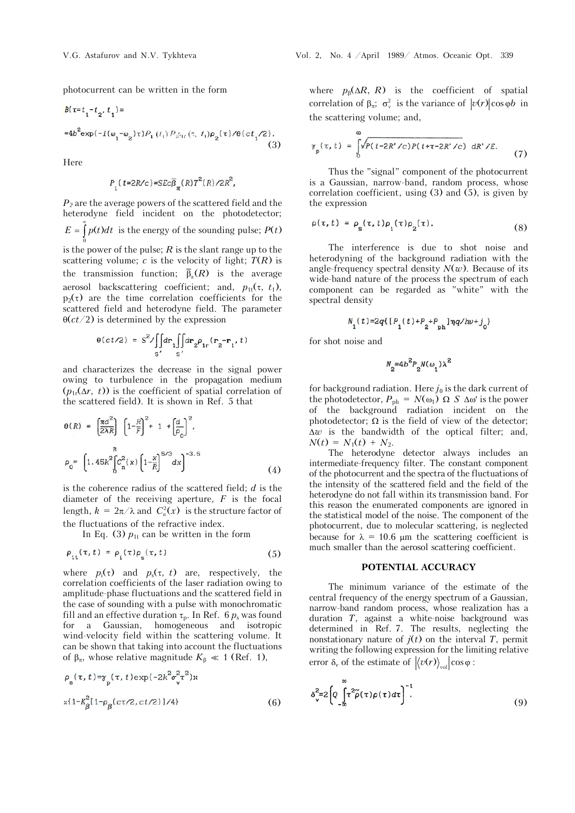photocurrent can be written in the form

$$
B(\tau = t_1 - t_2, t_1) =
$$
  
=4b<sup>2</sup> exp $(-i(\omega_1 - \omega_2)\tau)P_1(t_1)P_{2'11}(\tau, t_1)P_2(\tau)/\theta(ct_1/2)$ . (3)

Here

$$
P_{1}(t=2R/c)=SEc\overline{\beta}_{\pi}(R)T^{2}(R)/2R^{2},
$$

*P2* are the average powers of the scattered field and the heterodyne field incident on the photodetector; 0  $E = \int p(t)dt$  is the energy of the sounding pulse;  $P(t)$ œ is the power of the pulse; *R* is the slant range up to the scattering volume;  $c$  is the velocity of light;  $T(R)$  is the transmission function;  $\bar{\beta}_n(R)$  is the average aerosol backscattering coefficient; and,  $p_{1t}(\tau, t_1)$ ,  $p_2(\tau)$  are the time correlation coefficients for the scattered field and heterodyne field. The parameter

$$
\theta(ct/2) = S^2 / \iint_{S'} dr_1 \iint_{S'} dr_2 \rho_{1r}(\mathbf{r}_2 - \mathbf{r}_1, t)
$$

 $\Theta(ct/2)$  is determined by the expression

and characterizes the decrease in the signal power owing to turbulence in the propagation medium  $(p_{1r}(\Delta r, t))$  is the coefficient of spatial correlation of the scattered field). It is shown in Ref. 5 that

$$
\theta(R) = \left[\frac{\pi d^2}{2\lambda R}\right] \left[1 - \frac{R}{F}\right]^2 + 1 + \left[\frac{d}{\rho_0}\right]^2,
$$
  

$$
\rho_0 = \left[1.45k^2 \left[\frac{c^2}{n}(x)\left(1 - \frac{x}{R}\right)^{5/3}dx\right]^{-3.5}
$$
 (4)

is the coherence radius of the scattered field; *d* is the diameter of the receiving aperture, *F* is the focal length,  $k = 2\pi/\lambda$  and  $C_{n}^{2}(x)$  is the structure factor of the fluctuations of the refractive index.

In Eq. (3)  $p_{1t}$  can be written in the form

$$
\rho_{1t}(\tau, t) = \rho_1(\tau)\rho_s(\tau, t) \tag{5}
$$

where  $p_i(\tau)$  and  $p_s(\tau, t)$  are, respectively, the correlation coefficients of the laser radiation owing to amplitude-phase fluctuations and the scattered field in the case of sounding with a pulse with monochromatic fill and an effective duration  $\tau_p$ . In Ref. 6  $p_s$  was found for a Gaussian, homogeneous and isotropic wind-velocity field within the scattering volume. It can be shown that taking into account the fluctuations of  $\beta_{\pi}$ , whose relative magnitude  $K_{\beta} \ll 1$  (Ref. 1),

$$
\rho_{s}(\tau, t) = \gamma_{p}(\tau, t) \exp(-2k^{2} \sigma_{v}^{2} \tau^{2}) \times
$$
  
 
$$
\times \{1 - k_{\beta}^{2} [1 - \rho_{\beta}(\text{ct/2}, \text{ct/2})] / 4 \}
$$
 (6)

where  $p_{\beta}(\Delta R, R)$  is the coefficient of spatial correlation of  $\beta_{\pi}$ ;  $\sigma_{\nu}^2$  is the variance of  $|v(r)|\cos \varphi b$  in the scattering volume; and,

$$
\gamma_{\rm p}(\tau, t) = \int_0^{\infty} \sqrt{P(t - 2R' / c) P(t + \tau - 2R' / c)} \, dR' / E. \tag{7}
$$

Thus the "signal" component of the photocurrent is a Gaussian, narrow-band, random process, whose correlation coefficient, using (3) and (5), is given by the expression

$$
\rho(\tau, t) = \rho_{\rm s}(\tau, t)\rho_{\rm i}(\tau)\rho_{\rm 2}(\tau). \tag{8}
$$

The interference is due to shot noise and heterodyning of the background radiation with the angle-frequency spectral density  $N(w)$ . Because of its wide-band nature of the process the spectrum of each component can be regarded as "white" with the spectral density

$$
N_{_{\mathrm{1}}}(t)\text{=}2q\{\big[P_{_{\mathrm{1}}}(t)\text{+}P_{_{\mathrm{2}}} \text{+} P_{_{\mathrm{ph}}}\big]\eta q/h\nu\text{+}j_{_{\mathrm{0}}}\}
$$

for shot noise and

$$
N_2\text{=4b}^2P_2N(\omega_1)\lambda^2
$$

for background radiation. Here  $j_0$  is the dark current of the photodetector,  $P_{\text{ph}} = N(\omega_1) \Omega S \Delta \omega'$  is the power of the background radiation incident on the photodetector;  $\Omega$  is the field of view of the detector;  $\Delta w$  is the bandwidth of the optical filter; and,  $N(t) = N_1(t) + N_2.$ 

The heterodyne detector always includes an intermediate-frequency filter. The constant component of the photocurrent and the spectra of the fluctuations of the intensity of the scattered field and the field of the heterodyne do not fall within its transmission band. For this reason the enumerated components are ignored in the statistical model of the noise. The component of the photocurrent, due to molecular scattering, is neglected because for  $\lambda = 10.6$  µm the scattering coefficient is much smaller than the aerosol scattering coefficient.

## **POTENTIAL ACCURACY**

The minimum variance of the estimate of the central frequency of the energy spectrum of a Gaussian, narrow-band random process, whose realization has a duration *T*, against a white-noise background was determined in Ref. 7. The results, neglecting the nonstationary nature of  $j(t)$  on the interval *T*, permit writing the following expression for the limiting relative error  $\delta_v$  of the estimate of  $\langle v(r) \rangle_{vol} \cos \varphi$ :

$$
\delta_{\mathbf{v}}^2 = 2 \left[ Q \int_{-\infty}^{\infty} \tau^2 \tilde{\rho}(\tau) \rho(\tau) d\tau \right]^{-1}.
$$
 (9)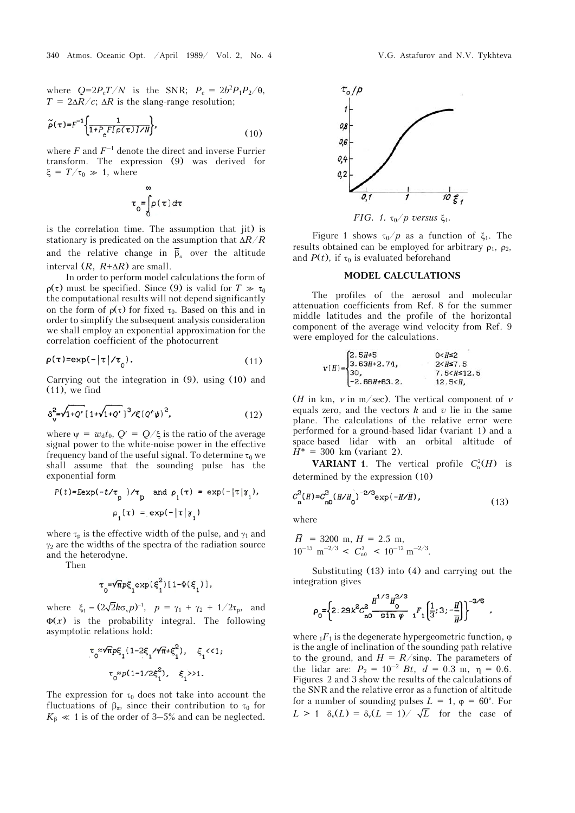where  $Q=2P_cT/N$  is the SNR;  $P_c = 2b^2P_1P_2/\theta$ ,  $T = 2\Delta R/c$ ;  $\Delta R$  is the slang-range resolution;

$$
\widetilde{\rho}(\tau) = F^{-1} \left\{ \frac{1}{1 + P_c F(\rho(\tau)) / N} \right\},\tag{10}
$$

where  $F$  and  $F^{-1}$  denote the direct and inverse Furrier transform. The expression (9) was derived for  $\xi = T/\tau_0 \gg 1$ , where

$$
\tau_0 = \int_0^\infty \rho(\tau) d\tau
$$

is the correlation time. The assumption that jit) is stationary is predicated on the assumption that  $\Delta R/R$ and the relative change in  $\bar{\beta}_r$  over the altitude interval  $(R, R+\Delta R)$  are small.

In order to perform model calculations the form of  $p(\tau)$  must be specified. Since (9) is valid for  $T \gg \tau_0$ the computational results will not depend significantly on the form of  $\rho(\tau)$  for fixed  $\tau_0$ . Based on this and in order to simplify the subsequent analysis consideration we shall employ an exponential approximation for the correlation coefficient of the photocurrent

$$
\rho(\tau) = \exp(-|\tau|/\tau_0). \tag{11}
$$

Carrying out the integration in (9), using (10) and (11), we find

$$
\delta_{\mathbf{v}}^2 = \sqrt{1+Q'} \left[ 1 + \sqrt{1+Q'} \right]^3 / \xi (Q'\psi)^2, \tag{12}
$$

where  $\psi = w_d t_0$ ,  $Q' = Q/\xi$  is the ratio of the average signal power to the white-noise power in the effective frequency band of the useful signal. To determine  $\tau_0$  we shall assume that the sounding pulse has the exponential form

$$
P(t)=E \exp(-t/\tau_p)/\tau_p \text{ and } \rho_i(\tau) = \exp(-|\tau|\gamma_i),
$$
  

$$
\rho_i(\tau) = \exp(-|\tau|\gamma_i)
$$

where  $\tau_n$  is the effective width of the pulse, and  $\gamma_1$  and  $\gamma_2$  are the widths of the spectra of the radiation source and the heterodyne.

Then

$$
\tau_0 = \sqrt{\pi} p \xi_1 \exp(\xi_1^2) [1 - \Phi(\xi_1)],
$$

where  $\xi_1 = (2\sqrt{2k}\sigma_v p)^{-1}$ ,  $p = \gamma_1 + \gamma_2 + 1/2\tau_p$ , and  $\Phi(x)$  is the probability integral. The following asymptotic relations hold:

$$
\tau_0 \approx \sqrt{\pi} p \xi_1 (1 - 2\xi_1 / \sqrt{\pi} + \xi_1^2), \quad \xi_1 < 1;
$$
\n
$$
\tau_0 \approx p (1 - 1 / 2\xi_1^2), \quad \xi_1 > 1.
$$

The expression for  $\tau_0$  does not take into account the fluctuations of  $\beta_{\pi}$ , since their contribution to  $\tau_0$  for  $K_{\beta} \ll 1$  is of the order of 3–5% and can be neglected.



*FIG.* 1.  $\tau_0$  *p* versus  $\xi_1$ *.* 

Figure 1 shows  $\tau_0/p$  as a function of  $\xi_1$ . The results obtained can be employed for arbitrary  $\rho_1$ ,  $\rho_2$ , and  $P(t)$ , if  $\tau_0$  is evaluated beforehand

#### **MODEL CALCULATIONS**

The profiles of the aerosol and molecular attenuation coefficients from Ref. 8 for the summer middle latitudes and the profile of the horizontal component of the average wind velocity from Ref. 9 were employed for the calculations.

$$
v(H) = \begin{cases} 2.5H+5 & 0 < H \le 2 \\ 3.63H+2.74, & 2 < H \le 7.5 \\ 30, & 7.5 < H \le 12.5 \\ -2.66H+63.2, & 12.5 < H, \end{cases}
$$

(*H* in km,  $\nu$  in m/sec). The vertical component of  $\nu$ equals zero, and the vectors  $k$  and  $v$  lie in the same plane. The calculations of the relative error were performed for a ground-based lidar (variant 1) and a space-based lidar with an orbital altitude of  $H^* = 300 \text{ km}$  (variant 2).

**VARIANT 1**. The vertical profile  $C_n^2(H)$  is determined by the expression (10)

$$
C_{\mathbf{n}}^{2}(H) = C_{\mathbf{n0}}^{2}(H/H_{0})^{-2/3} \exp(-H/\overline{H}), \qquad (13)
$$

where

 $H = 3200$  m,  $H = 2.5$  m,  $10^{-15}$  m<sup>-2/3</sup> <  $C_{n0}^2$  <  $10^{-12}$  m<sup>-2/3</sup>.

Substituting (13) into (4) and carrying out the integration gives

$$
\rho_0 = \left\{ 2: 29k^2 C_{\text{no}}^2 \frac{H^{1/3} H_0^{2/3}}{\sin \varphi} \ _1F_1\left[\frac{1}{3}; 3; -\frac{H}{H}\right] \right\}^{-3/5}
$$

where  $_1F_1$  is the degenerate hypergeometric function,  $\varphi$ is the angle of inclination of the sounding path relative to the ground, and  $H = R/\text{sin}\varphi$ . The parameters of the lidar are:  $P_2 = 10^{-2} Bt$ ,  $d = 0.3$  m,  $\eta = 0.6$ . Figures 2 and 3 show the results of the calculations of the SNR and the relative error as a function of altitude for a number of sounding pulses  $L = 1$ ,  $\varphi = 60^{\circ}$ . For  $L > 1$   $\delta_v(L) = \delta_v(L = 1) / \sqrt{L}$  for the case of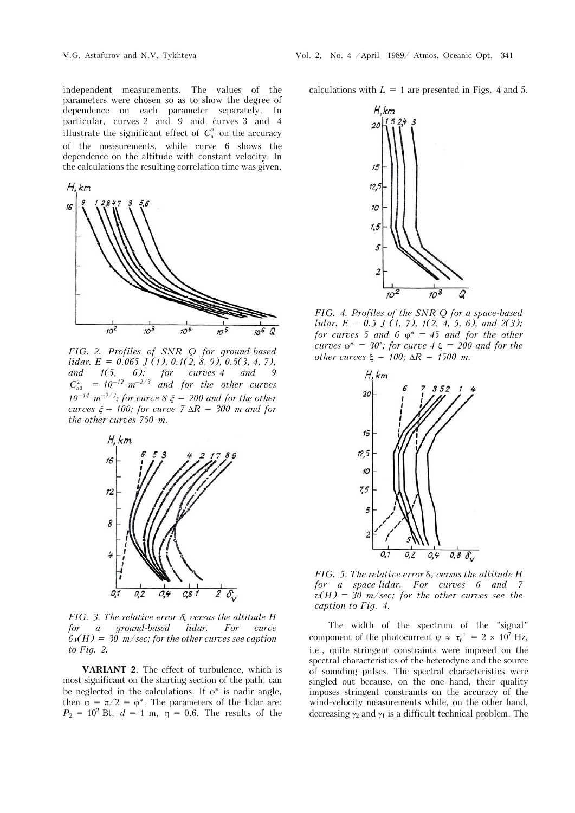independent measurements. The values of the parameters were chosen so as to show the degree of dependence on each parameter separately. In particular, curves 2 and 9 and curves 3 and 4 illustrate the significant effect of  $C_n^2$  on the accuracy of the measurements, while curve 6 shows the dependence on the altitude with constant velocity. In the calculations the resulting correlation time was given.



*FIG. 2. Profiles of SNR Q for ground-based lidar. E = 0.065 J (1), 0.1(2, 8, 9), 0.5(3, 4, 7), and 1(5, 6); for curves 4 and 9*  $C_{n0}^2$  =  $10^{-12}$   $m^{-2/3}$  and for the other curves *10<sup>-14</sup>*  $m^{-2/3}$ ; for curve 8  $\xi$  = 200 and for the other *curves*  $\xi = 100$ *; for curve 7*  $\Delta R = 300$  *m and for the other curves 750 m.*



*FIG.* 3. The relative error  $\delta$ <sub>v</sub> versus the altitude H *for a ground-based lidar. For curve*   $6\mathcal{H}(H) = 30$  m/sec; for the other curves see caption *to Fig. 2.* 

**VARIANT 2**. The effect of turbulence, which is most significant on the starting section of the path, can be neglected in the calculations. If  $\varphi^*$  is nadir angle, then  $\varphi = \pi/2 = \varphi^*$ . The parameters of the lidar are:  $P_2 = 10^2$  Bt,  $d = 1$  m,  $\eta = 0.6$ . The results of the calculations with  $L = 1$  are presented in Figs. 4 and 5.



*FIG. 4. Profiles of the SNR Q for a space-based lidar. E = 0.5 J (1, 7), 1(2, 4, 5, 6), and 2(3); for curves* 5 *and* 6  $\varphi^* = 45$  *and for the other curves*  $\varphi^* = 30^\circ$ ; for curve  $4 \xi = 200$  and for the *other curves*  $\xi = 100$ ;  $\Delta R = 1500$  *m.* 



*FIG.* 5. The relative error  $\delta$ <sup>v</sup> versus the altitude H *for a space-lidar. For curves 6 and 7*   $v(H) = 30$  m/sec; for the other curves see the *caption to Fig. 4.*

The width of the spectrum of the "signal" component of the photocurrent  $\psi \approx \tau_0^{-1} = 2 \times 10^7$  Hz, i.e., quite stringent constraints were imposed on the spectral characteristics of the heterodyne and the source of sounding pulses. The spectral characteristics were singled out because, on the one hand, their quality imposes stringent constraints on the accuracy of the wind-velocity measurements while, on the other hand, decreasing  $\gamma_2$  and  $\gamma_1$  is a difficult technical problem. The